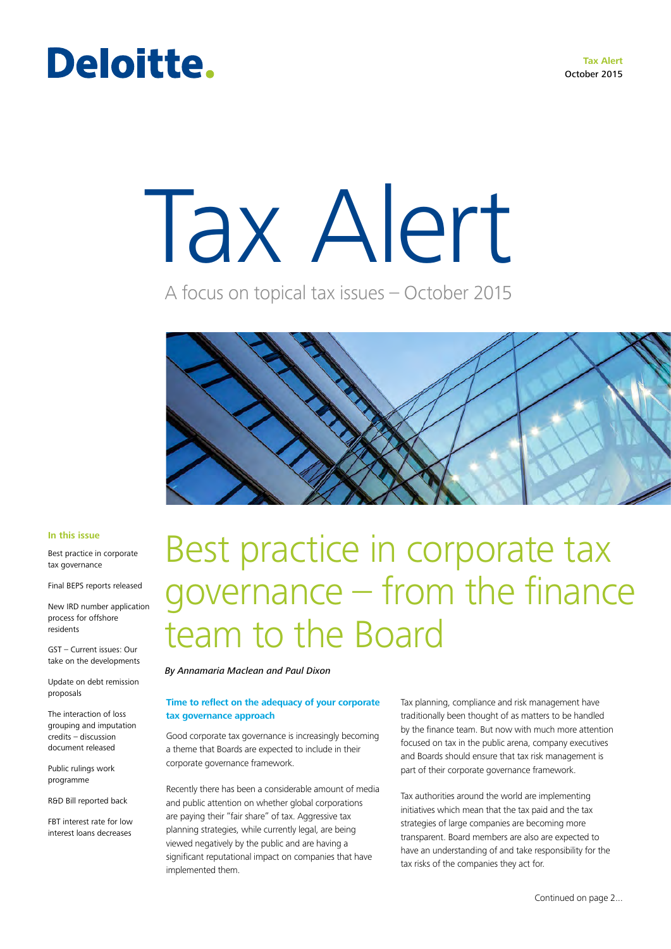**Tax Alert** October 2015

### Deloitte.

# Tax Alert

A focus on topical tax issues – October 2015



#### **In this issue**

Best practice in corporate tax governance

Final BEPS reports released

New IRD number application process for offshore residents

GST – Current issues: Our take on the developments

Update on debt remission proposals

The interaction of loss grouping and imputation credits – discussion document released

Public rulings work programme

R&D Bill reported back

FBT interest rate for low interest loans decreases

### Best practice in corporate tax governance – from the finance team to the Board

*By Annamaria Maclean and Paul Dixon*

### **Time to reflect on the adequacy of your corporate tax governance approach**

Good corporate tax governance is increasingly becoming a theme that Boards are expected to include in their corporate governance framework.

Recently there has been a considerable amount of media and public attention on whether global corporations are paying their "fair share" of tax. Aggressive tax planning strategies, while currently legal, are being viewed negatively by the public and are having a significant reputational impact on companies that have implemented them.

Tax planning, compliance and risk management have traditionally been thought of as matters to be handled by the finance team. But now with much more attention focused on tax in the public arena, company executives and Boards should ensure that tax risk management is part of their corporate governance framework.

Tax authorities around the world are implementing initiatives which mean that the tax paid and the tax strategies of large companies are becoming more transparent. Board members are also are expected to have an understanding of and take responsibility for the tax risks of the companies they act for.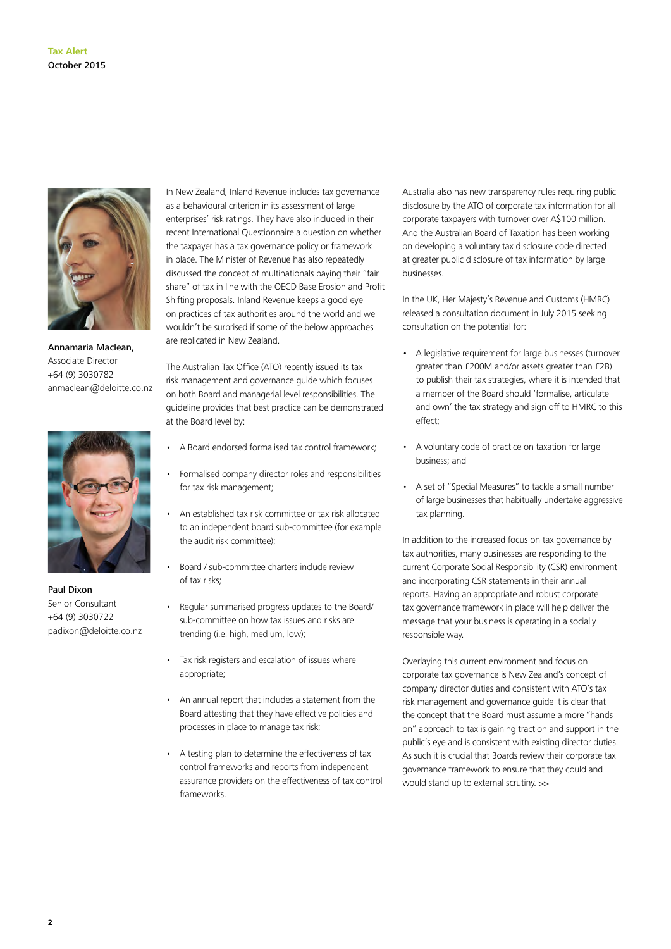

Annamaria Maclean, Associate Director +64 (9) 3030782 anmaclean@deloitte.co.nz



Paul Dixon Senior Consultant +64 (9) 3030722 padixon@deloitte.co.nz In New Zealand, Inland Revenue includes tax governance as a behavioural criterion in its assessment of large enterprises' risk ratings. They have also included in their recent International Questionnaire a question on whether the taxpayer has a tax governance policy or framework in place. The Minister of Revenue has also repeatedly discussed the concept of multinationals paying their "fair share" of tax in line with the OECD Base Erosion and Profit Shifting proposals. Inland Revenue keeps a good eye on practices of tax authorities around the world and we wouldn't be surprised if some of the below approaches are replicated in New Zealand.

The Australian Tax Office (ATO) recently issued its tax risk management and governance guide which focuses on both Board and managerial level responsibilities. The guideline provides that best practice can be demonstrated at the Board level by:

- A Board endorsed formalised tax control framework;
- Formalised company director roles and responsibilities for tax risk management;
- An established tax risk committee or tax risk allocated to an independent board sub-committee (for example the audit risk committee);
- Board / sub-committee charters include review of tax risks;
- Regular summarised progress updates to the Board/ sub-committee on how tax issues and risks are trending (i.e. high, medium, low);
- Tax risk registers and escalation of issues where appropriate;
- An annual report that includes a statement from the Board attesting that they have effective policies and processes in place to manage tax risk;
- A testing plan to determine the effectiveness of tax control frameworks and reports from independent assurance providers on the effectiveness of tax control frameworks.

Australia also has new transparency rules requiring public disclosure by the ATO of corporate tax information for all corporate taxpayers with turnover over A\$100 million. And the Australian Board of Taxation has been working on developing a voluntary tax disclosure code directed at greater public disclosure of tax information by large businesses.

In the UK, Her Majesty's Revenue and Customs (HMRC) released a consultation document in July 2015 seeking consultation on the potential for:

- A legislative requirement for large businesses (turnover greater than £200M and/or assets greater than £2B) to publish their tax strategies, where it is intended that a member of the Board should 'formalise, articulate and own' the tax strategy and sign off to HMRC to this effect;
- A voluntary code of practice on taxation for large business; and
- A set of "Special Measures" to tackle a small number of large businesses that habitually undertake aggressive tax planning.

In addition to the increased focus on tax governance by tax authorities, many businesses are responding to the current Corporate Social Responsibility (CSR) environment and incorporating CSR statements in their annual reports. Having an appropriate and robust corporate tax governance framework in place will help deliver the message that your business is operating in a socially responsible way.

Overlaying this current environment and focus on corporate tax governance is New Zealand's concept of company director duties and consistent with ATO's tax risk management and governance guide it is clear that the concept that the Board must assume a more "hands on" approach to tax is gaining traction and support in the public's eye and is consistent with existing director duties. As such it is crucial that Boards review their corporate tax governance framework to ensure that they could and would stand up to external scrutiny.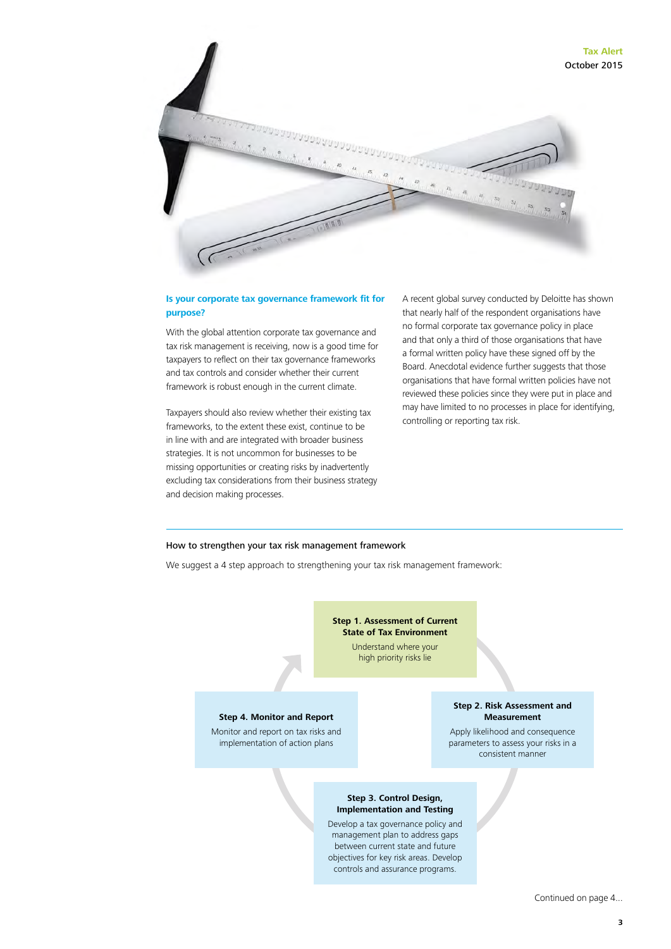

### **Is your corporate tax governance framework fit for purpose?**

With the global attention corporate tax governance and tax risk management is receiving, now is a good time for taxpayers to reflect on their tax governance frameworks and tax controls and consider whether their current framework is robust enough in the current climate.

Taxpayers should also review whether their existing tax frameworks, to the extent these exist, continue to be in line with and are integrated with broader business strategies. It is not uncommon for businesses to be missing opportunities or creating risks by inadvertently excluding tax considerations from their business strategy and decision making processes.

A recent global survey conducted by Deloitte has shown that nearly half of the respondent organisations have no formal corporate tax governance policy in place and that only a third of those organisations that have a formal written policy have these signed off by the Board. Anecdotal evidence further suggests that those organisations that have formal written policies have not reviewed these policies since they were put in place and may have limited to no processes in place for identifying, controlling or reporting tax risk.

#### How to strengthen your tax risk management framework

We suggest a 4 step approach to strengthening your tax risk management framework:

#### **Step 1. Assessment of Current State of Tax Environment**

Understand where your high priority risks lie

#### **Step 4. Monitor and Report**

Monitor and report on tax risks and implementation of action plans

#### **Step 2. Risk Assessment and Measurement**

Apply likelihood and consequence parameters to assess your risks in a consistent manner

#### **Step 3. Control Design, Implementation and Testing**

Develop a tax governance policy and management plan to address gaps between current state and future objectives for key risk areas. Develop controls and assurance programs.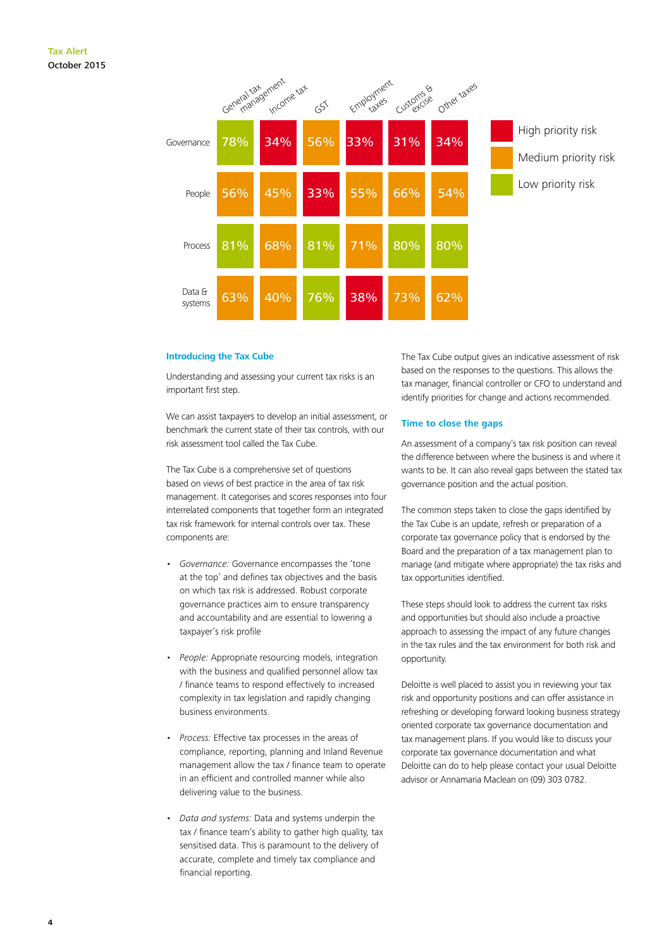

#### **Introducing the Tax Cube**

Understanding and assessing your current tax risks is an important first step.

We can assist taxpayers to develop an initial assessment, or benchmark the current state of their tax controls, with our risk assessment tool called the Tax Cube.

The Tax Cube is a comprehensive set of questions based on views of best practice in the area of tax risk management. It categorises and scores responses into four interrelated components that together form an integrated tax risk framework for internal controls over tax. These components are:

- *Governance:* Governance encompasses the 'tone at the top' and defines tax objectives and the basis on which tax risk is addressed. Robust corporate governance practices aim to ensure transparency and accountability and are essential to lowering a taxpayer's risk profile
- *People:* Appropriate resourcing models, integration with the business and qualified personnel allow tax / finance teams to respond effectively to increased complexity in tax legislation and rapidly changing business environments.
- *Process:* Effective tax processes in the areas of compliance, reporting, planning and Inland Revenue management allow the tax / finance team to operate in an efficient and controlled manner while also delivering value to the business.
- *Data and systems:* Data and systems underpin the tax / finance team's ability to gather high quality, tax sensitised data. This is paramount to the delivery of accurate, complete and timely tax compliance and financial reporting.

The Tax Cube output gives an indicative assessment of risk based on the responses to the questions. This allows the tax manager, financial controller or CFO to understand and identify priorities for change and actions recommended.

#### **Time to close the gaps**

An assessment of a company's tax risk position can reveal the difference between where the business is and where it wants to be. It can also reveal gaps between the stated tax governance position and the actual position.

The common steps taken to close the gaps identified by the Tax Cube is an update, refresh or preparation of a corporate tax governance policy that is endorsed by the Board and the preparation of a tax management plan to manage (and mitigate where appropriate) the tax risks and tax opportunities identified.

These steps should look to address the current tax risks and opportunities but should also include a proactive approach to assessing the impact of any future changes in the tax rules and the tax environment for both risk and opportunity.

Deloitte is well placed to assist you in reviewing your tax risk and opportunity positions and can offer assistance in refreshing or developing forward looking business strategy oriented corporate tax governance documentation and tax management plans. If you would like to discuss your corporate tax governance documentation and what Deloitte can do to help please contact your usual Deloitte advisor or Annamaria Maclean on (09) 303 0782.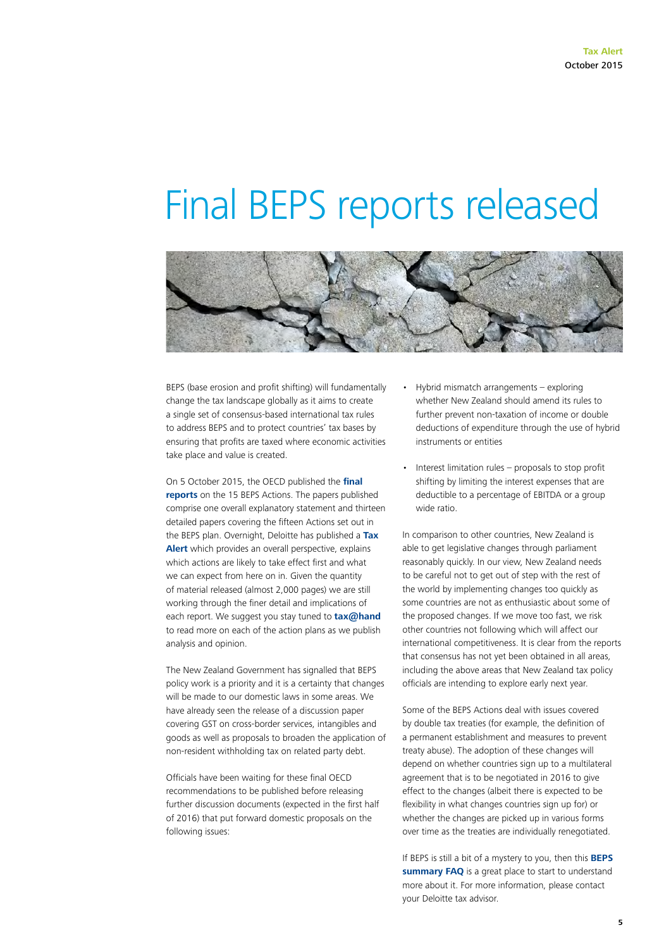### Final BEPS reports released



BEPS (base erosion and profit shifting) will fundamentally change the tax landscape globally as it aims to create a single set of consensus-based international tax rules to address BEPS and to protect countries' tax bases by ensuring that profits are taxed where economic activities take place and value is created.

On 5 October 2015, the OECD published the **[final](http://www.oecd.org/ctp/beps-2015-final-reports.htm)  [reports](http://www.oecd.org/ctp/beps-2015-final-reports.htm)** on the 15 BEPS Actions. The papers published comprise one overall explanatory statement and thirteen detailed papers covering the fifteen Actions set out in the BEPS plan. Overnight, Deloitte has published a **[Tax](http://www.taxathand.com/article/UK/2015/Final-BEPS-reports-released--An-overall-perspective)  [Alert](http://www.taxathand.com/article/UK/2015/Final-BEPS-reports-released--An-overall-perspective)** which provides an overall perspective, explains which actions are likely to take effect first and what we can expect from here on in. Given the quantity of material released (almost 2,000 pages) we are still working through the finer detail and implications of each report. We suggest you stay tuned to **[tax@hand](http://www.taxathand.com/)**  to read more on each of the action plans as we publish analysis and opinion.

The New Zealand Government has signalled that BEPS policy work is a priority and it is a certainty that changes will be made to our domestic laws in some areas. We have already seen the release of a discussion paper covering GST on cross-border services, intangibles and goods as well as proposals to broaden the application of non-resident withholding tax on related party debt.

Officials have been waiting for these final OECD recommendations to be published before releasing further discussion documents (expected in the first half of 2016) that put forward domestic proposals on the following issues:

- Hybrid mismatch arrangements exploring whether New Zealand should amend its rules to further prevent non-taxation of income or double deductions of expenditure through the use of hybrid instruments or entities
- Interest limitation rules  $-$  proposals to stop profit shifting by limiting the interest expenses that are deductible to a percentage of EBITDA or a group wide ratio.

In comparison to other countries, New Zealand is able to get legislative changes through parliament reasonably quickly. In our view, New Zealand needs to be careful not to get out of step with the rest of the world by implementing changes too quickly as some countries are not as enthusiastic about some of the proposed changes. If we move too fast, we risk other countries not following which will affect our international competitiveness. It is clear from the reports that consensus has not yet been obtained in all areas, including the above areas that New Zealand tax policy officials are intending to explore early next year.

Some of the BEPS Actions deal with issues covered by double tax treaties (for example, the definition of a permanent establishment and measures to prevent treaty abuse). The adoption of these changes will depend on whether countries sign up to a multilateral agreement that is to be negotiated in 2016 to give effect to the changes (albeit there is expected to be flexibility in what changes countries sign up for) or whether the changes are picked up in various forms over time as the treaties are individually renegotiated.

If BEPS is still a bit of a mystery to you, then this **[BEPS](http://www2.deloitte.com/content/dam/Deloitte/global/Documents/Tax/dttl-tax-base-erosion-and-profit-shifting-frequently-asked-questions-june-2015.pdf)  [summary FAQ](http://www2.deloitte.com/content/dam/Deloitte/global/Documents/Tax/dttl-tax-base-erosion-and-profit-shifting-frequently-asked-questions-june-2015.pdf)** is a great place to start to understand more about it. For more information, please contact your Deloitte tax advisor.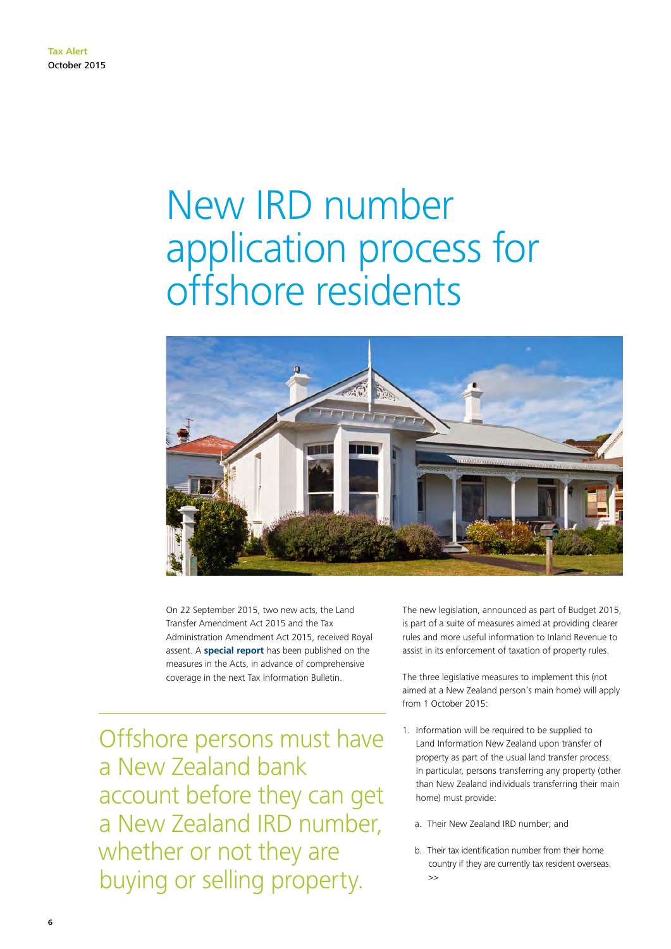### New IRD number application process for offshore residents



On 22 September 2015, two new acts, the Land Transfer Amendment Act 2015 and the Tax Administration Amendment Act 2015, received Royal assent. A **[special report](http://taxpolicy.ird.govt.nz/publications/2015-sr-property-information-requirements/overview)** has been published on the measures in the Acts, in advance of comprehensive coverage in the next Tax Information Bulletin.

Offshore persons must have a New Zealand bank account before they can get a New Zealand IRD number, whether or not they are buying or selling property.

The new legislation, announced as part of Budget 2015, is part of a suite of measures aimed at providing clearer rules and more useful information to Inland Revenue to assist in its enforcement of taxation of property rules.

The three legislative measures to implement this (not aimed at a New Zealand person's main home) will apply from 1 October 2015:

- 1. Information will be required to be supplied to Land Information New Zealand upon transfer of property as part of the usual land transfer process. In particular, persons transferring any property (other than New Zealand individuals transferring their main home) must provide:
	- a. Their New Zealand IRD number; and
	- b. Their tax identification number from their home country if they are currently tax resident overseas.  $\rightarrow$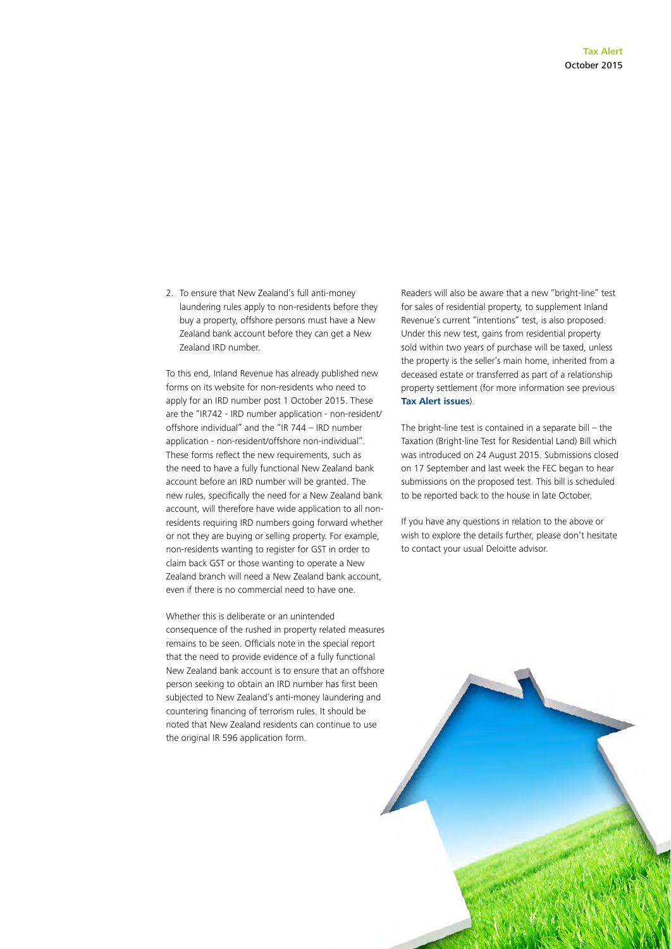2. To ensure that New Zealand's full anti-money laundering rules apply to non-residents before they buy a property, offshore persons must have a New Zealand bank account before they can get a New Zealand IRD number.

To this end, Inland Revenue has already published new forms on its website for non-residents who need to apply for an IRD number post 1 October 2015. These are the "IR742 - IRD number application - non-resident/ offshore individual" and the "IR 744 – IRD number application - non-resident/offshore non-individual". These forms reflect the new requirements, such as the need to have a fully functional New Zealand bank account before an IRD number will be granted. The new rules, specifically the need for a New Zealand bank account, will therefore have wide application to all nonresidents requiring IRD numbers going forward whether or not they are buying or selling property. For example, non-residents wanting to register for GST in order to claim back GST or those wanting to operate a New Zealand branch will need a New Zealand bank account, even if there is no commercial need to have one.

Whether this is deliberate or an unintended consequence of the rushed in property related measures remains to be seen. Officials note in the special report that the need to provide evidence of a fully functional New Zealand bank account is to ensure that an offshore person seeking to obtain an IRD number has first been subjected to New Zealand's anti-money laundering and countering financing of terrorism rules. It should be noted that New Zealand residents can continue to use the original IR 596 application form.

Readers will also be aware that a new "bright-line" test for sales of residential property, to supplement Inland Revenue's current "intentions" test, is also proposed. Under this new test, gains from residential property sold within two years of purchase will be taxed, unless the property is the seller's main home, inherited from a deceased estate or transferred as part of a relationship property settlement (for more information see previous **[Tax Alert issues](http://www2.deloitte.com/nz/en/pages/tax/articles/tax-alert.html)**).

The bright-line test is contained in a separate bill  $-$  the Taxation (Bright-line Test for Residential Land) Bill which was introduced on 24 August 2015. Submissions closed on 17 September and last week the FEC began to hear submissions on the proposed test. This bill is scheduled to be reported back to the house in late October.

If you have any questions in relation to the above or wish to explore the details further, please don't hesitate to contact your usual Deloitte advisor.

**7**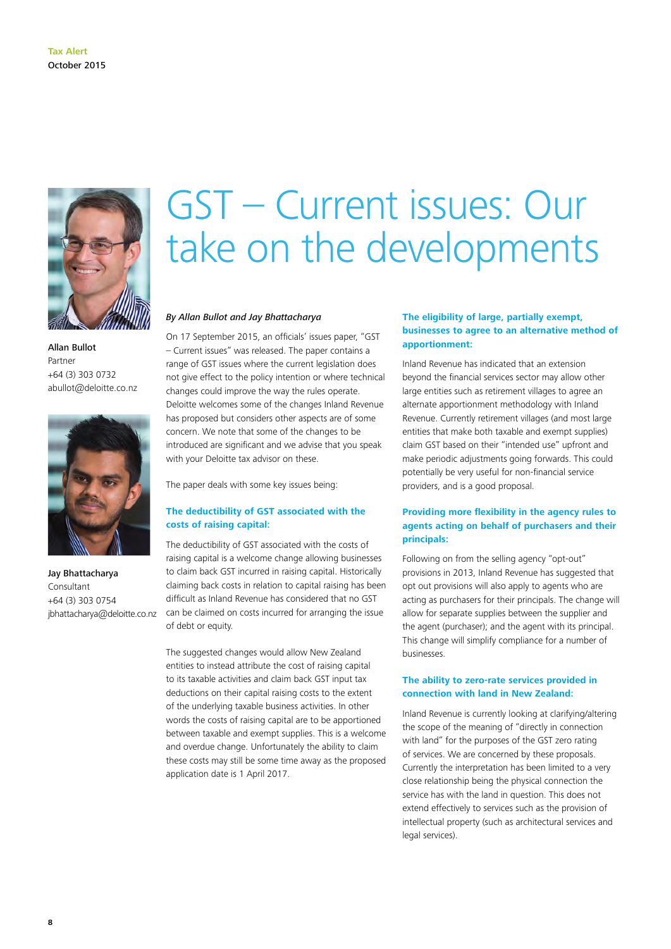

Allan Bullot Partner +64 (3) 303 0732 abullot@deloitte.co.nz



Jay Bhattacharya Consultant +64 (3) 303 0754 jbhattacharya@deloitte.co.nz

### GST – Current issues: Our take on the developments

### *By Allan Bullot and Jay Bhattacharya*

On 17 September 2015, an officials' issues paper, "GST – Current issues" was released. The paper contains a range of GST issues where the current legislation does not give effect to the policy intention or where technical changes could improve the way the rules operate. Deloitte welcomes some of the changes Inland Revenue has proposed but considers other aspects are of some concern. We note that some of the changes to be introduced are significant and we advise that you speak with your Deloitte tax advisor on these.

The paper deals with some key issues being:

### **The deductibility of GST associated with the costs of raising capital:**

The deductibility of GST associated with the costs of raising capital is a welcome change allowing businesses to claim back GST incurred in raising capital. Historically claiming back costs in relation to capital raising has been difficult as Inland Revenue has considered that no GST can be claimed on costs incurred for arranging the issue of debt or equity.

The suggested changes would allow New Zealand entities to instead attribute the cost of raising capital to its taxable activities and claim back GST input tax deductions on their capital raising costs to the extent of the underlying taxable business activities. In other words the costs of raising capital are to be apportioned between taxable and exempt supplies. This is a welcome and overdue change. Unfortunately the ability to claim these costs may still be some time away as the proposed application date is 1 April 2017.

### **The eligibility of large, partially exempt, businesses to agree to an alternative method of apportionment:**

Inland Revenue has indicated that an extension beyond the financial services sector may allow other large entities such as retirement villages to agree an alternate apportionment methodology with Inland Revenue. Currently retirement villages (and most large entities that make both taxable and exempt supplies) claim GST based on their "intended use" upfront and make periodic adjustments going forwards. This could potentially be very useful for non-financial service providers, and is a good proposal.

### **Providing more flexibility in the agency rules to agents acting on behalf of purchasers and their principals:**

Following on from the selling agency "opt-out" provisions in 2013, Inland Revenue has suggested that opt out provisions will also apply to agents who are acting as purchasers for their principals. The change will allow for separate supplies between the supplier and the agent (purchaser); and the agent with its principal. This change will simplify compliance for a number of businesses.

### **The ability to zero-rate services provided in connection with land in New Zealand:**

Inland Revenue is currently looking at clarifying/altering the scope of the meaning of "directly in connection with land" for the purposes of the GST zero rating of services. We are concerned by these proposals. Currently the interpretation has been limited to a very close relationship being the physical connection the service has with the land in question. This does not extend effectively to services such as the provision of intellectual property (such as architectural services and legal services).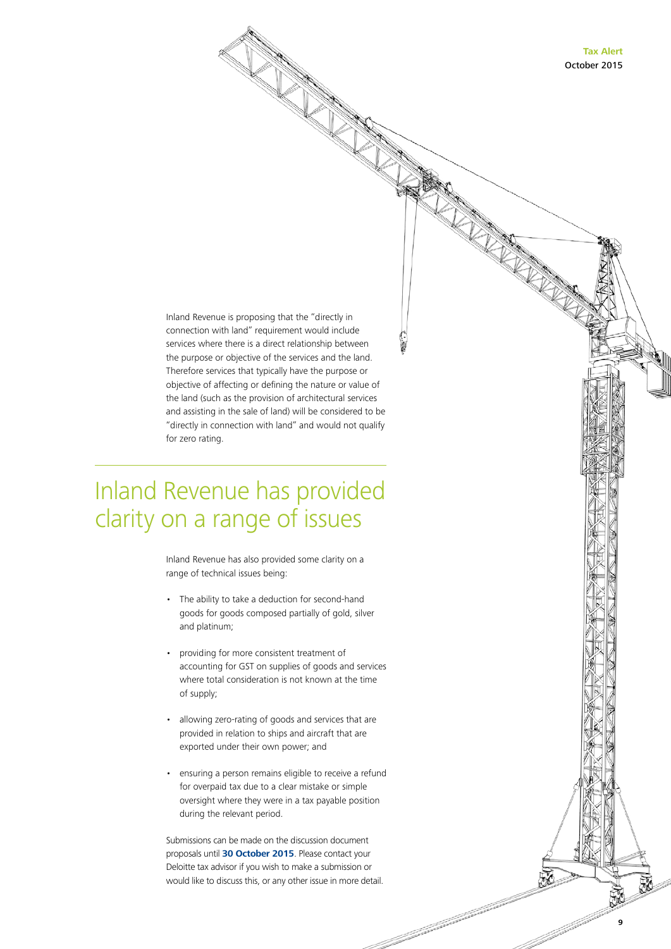**Tax Alert** October 2015

**9**

and the company of the company of the company of the company of the company of the company of the company of the company of the company of the company of the company of the company of the company of the company of the comp

Inland Revenue is proposing that the "directly in connection with land" requirement would include services where there is a direct relationship between the purpose or objective of the services and the land. Therefore services that typically have the purpose or objective of affecting or defining the nature or value of the land (such as the provision of architectural services and assisting in the sale of land) will be considered to be "directly in connection with land" and would not qualify for zero rating.

### Inland Revenue has provided clarity on a range of issues

Inland Revenue has also provided some clarity on a range of technical issues being:

- The ability to take a deduction for second-hand goods for goods composed partially of gold, silver and platinum;
- providing for more consistent treatment of accounting for GST on supplies of goods and services where total consideration is not known at the time of supply;
- allowing zero-rating of goods and services that are provided in relation to ships and aircraft that are exported under their own power; and
- ensuring a person remains eligible to receive a refund for overpaid tax due to a clear mistake or simple oversight where they were in a tax payable position during the relevant period.

Submissions can be made on the discussion document proposals until **30 October 2015**. Please contact your Deloitte tax advisor if you wish to make a submission or would like to discuss this, or any other issue in more detail.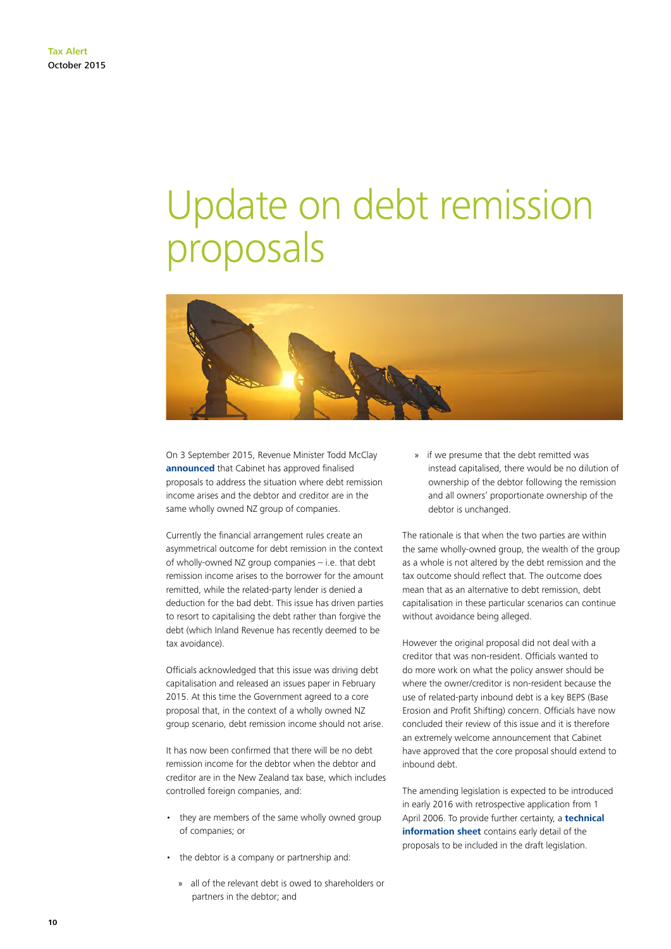## Update on debt remission proposals



On 3 September 2015, Revenue Minister Todd McClay **[announced](http://taxpolicy.ird.govt.nz/news/2015-09-03-debt-remission-proposals-proceed#statement)** that Cabinet has approved finalised proposals to address the situation where debt remission income arises and the debtor and creditor are in the same wholly owned NZ group of companies.

Currently the financial arrangement rules create an asymmetrical outcome for debt remission in the context of wholly-owned NZ group companies – i.e. that debt remission income arises to the borrower for the amount remitted, while the related-party lender is denied a deduction for the bad debt. This issue has driven parties to resort to capitalising the debt rather than forgive the debt (which Inland Revenue has recently deemed to be tax avoidance).

Officials acknowledged that this issue was driving debt capitalisation and released an issues paper in February 2015. At this time the Government agreed to a core proposal that, in the context of a wholly owned NZ group scenario, debt remission income should not arise.

It has now been confirmed that there will be no debt remission income for the debtor when the debtor and creditor are in the New Zealand tax base, which includes controlled foreign companies, and:

- they are members of the same wholly owned group of companies; or
- the debtor is a company or partnership and:
	- » all of the relevant debt is owed to shareholders or partners in the debtor; and

» if we presume that the debt remitted was instead capitalised, there would be no dilution of ownership of the debtor following the remission and all owners' proportionate ownership of the debtor is unchanged.

The rationale is that when the two parties are within the same wholly-owned group, the wealth of the group as a whole is not altered by the debt remission and the tax outcome should reflect that. The outcome does mean that as an alternative to debt remission, debt capitalisation in these particular scenarios can continue without avoidance being alleged.

However the original proposal did not deal with a creditor that was non-resident. Officials wanted to do more work on what the policy answer should be where the owner/creditor is non-resident because the use of related-party inbound debt is a key BEPS (Base Erosion and Profit Shifting) concern. Officials have now concluded their review of this issue and it is therefore an extremely welcome announcement that Cabinet have approved that the core proposal should extend to inbound debt.

The amending legislation is expected to be introduced in early 2016 with retrospective application from 1 April 2006. To provide further certainty, a **[technical](http://taxpolicy.ird.govt.nz/sites/default/files/2015-other-related-parties-debt-remission.pdf)  [information sheet](http://taxpolicy.ird.govt.nz/sites/default/files/2015-other-related-parties-debt-remission.pdf)** contains early detail of the proposals to be included in the draft legislation.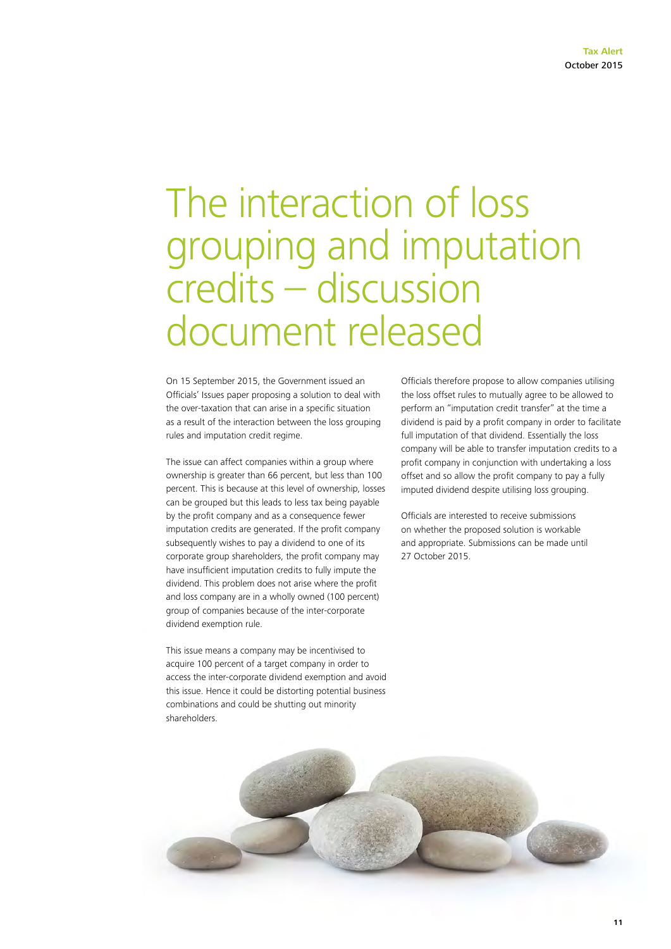### The interaction of loss grouping and imputation credits – discussion document released

On 15 September 2015, the Government issued an Officials' Issues paper proposing a solution to deal with the over-taxation that can arise in a specific situation as a result of the interaction between the loss grouping rules and imputation credit regime.

The issue can affect companies within a group where ownership is greater than 66 percent, but less than 100 percent. This is because at this level of ownership, losses can be grouped but this leads to less tax being payable by the profit company and as a consequence fewer imputation credits are generated. If the profit company subsequently wishes to pay a dividend to one of its corporate group shareholders, the profit company may have insufficient imputation credits to fully impute the dividend. This problem does not arise where the profit and loss company are in a wholly owned (100 percent) group of companies because of the inter-corporate dividend exemption rule.

This issue means a company may be incentivised to acquire 100 percent of a target company in order to access the inter-corporate dividend exemption and avoid this issue. Hence it could be distorting potential business combinations and could be shutting out minority shareholders.

Officials therefore propose to allow companies utilising the loss offset rules to mutually agree to be allowed to perform an "imputation credit transfer" at the time a dividend is paid by a profit company in order to facilitate full imputation of that dividend. Essentially the loss company will be able to transfer imputation credits to a profit company in conjunction with undertaking a loss offset and so allow the profit company to pay a fully imputed dividend despite utilising loss grouping.

Officials are interested to receive submissions on whether the proposed solution is workable and appropriate. Submissions can be made until 27 October 2015.

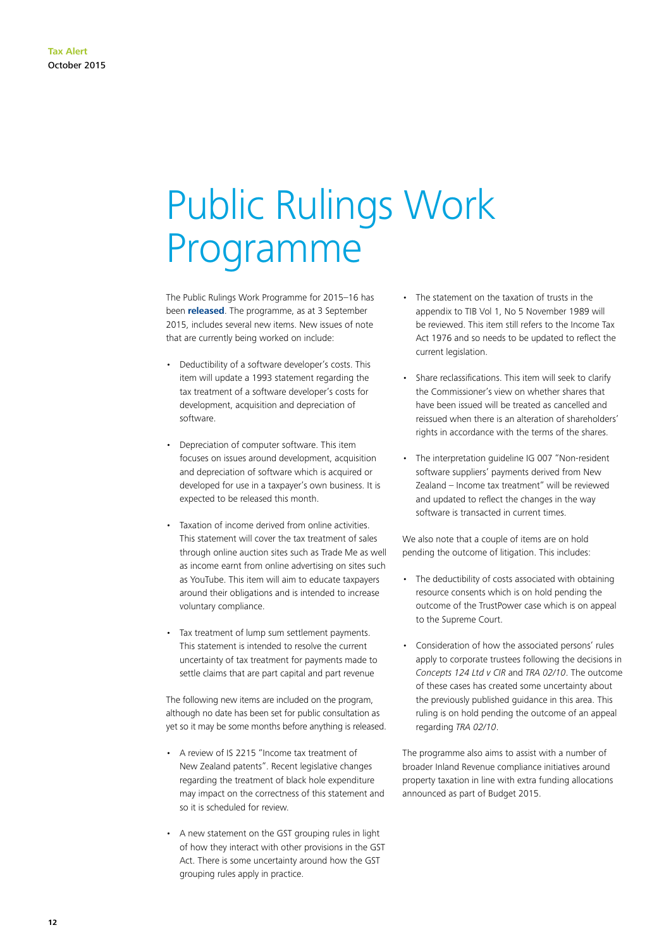## Public Rulings Work Programme

The Public Rulings Work Programme for 2015–16 has been **[released](http://www.ird.govt.nz/resources/3/0/306d09c2-c49b-484a-97c5-2a0560ab7047/pr-work-programme-2015-09-03.pdf)**. The programme, as at 3 September 2015, includes several new items. New issues of note that are currently being worked on include:

- Deductibility of a software developer's costs. This item will update a 1993 statement regarding the tax treatment of a software developer's costs for development, acquisition and depreciation of software.
- Depreciation of computer software. This item focuses on issues around development, acquisition and depreciation of software which is acquired or developed for use in a taxpayer's own business. It is expected to be released this month.
- Taxation of income derived from online activities. This statement will cover the tax treatment of sales through online auction sites such as Trade Me as well as income earnt from online advertising on sites such as YouTube. This item will aim to educate taxpayers around their obligations and is intended to increase voluntary compliance.
- Tax treatment of lump sum settlement payments. This statement is intended to resolve the current uncertainty of tax treatment for payments made to settle claims that are part capital and part revenue

The following new items are included on the program, although no date has been set for public consultation as yet so it may be some months before anything is released.

- A review of IS 2215 "Income tax treatment of New Zealand patents". Recent legislative changes regarding the treatment of black hole expenditure may impact on the correctness of this statement and so it is scheduled for review.
- A new statement on the GST grouping rules in light of how they interact with other provisions in the GST Act. There is some uncertainty around how the GST grouping rules apply in practice.
- The statement on the taxation of trusts in the appendix to TIB Vol 1, No 5 November 1989 will be reviewed. This item still refers to the Income Tax Act 1976 and so needs to be updated to reflect the current legislation.
- Share reclassifications. This item will seek to clarify the Commissioner's view on whether shares that have been issued will be treated as cancelled and reissued when there is an alteration of shareholders' rights in accordance with the terms of the shares.
- The interpretation guideline IG 007 "Non-resident software suppliers' payments derived from New Zealand – Income tax treatment" will be reviewed and updated to reflect the changes in the way software is transacted in current times.

We also note that a couple of items are on hold pending the outcome of litigation. This includes:

- The deductibility of costs associated with obtaining resource consents which is on hold pending the outcome of the TrustPower case which is on appeal to the Supreme Court.
- Consideration of how the associated persons' rules apply to corporate trustees following the decisions in *Concepts 124 Ltd v CIR* and *TRA 02/10*. The outcome of these cases has created some uncertainty about the previously published guidance in this area. This ruling is on hold pending the outcome of an appeal regarding *TRA 02/10*.

The programme also aims to assist with a number of broader Inland Revenue compliance initiatives around property taxation in line with extra funding allocations announced as part of Budget 2015.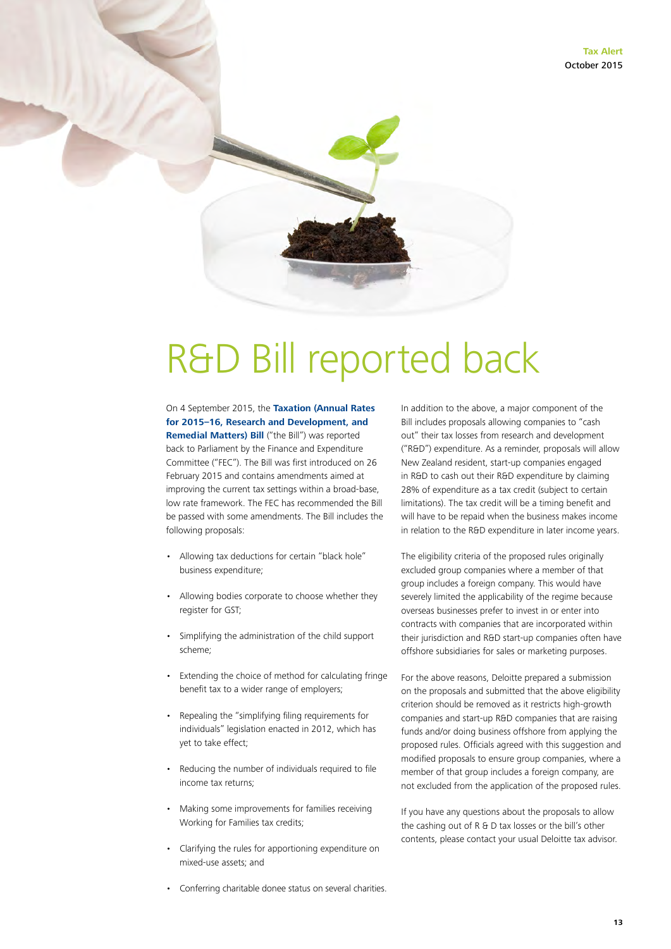### R&D Bill reported back

On 4 September 2015, the **[Taxation \(Annual Rates](http://legislation.govt.nz/bill/government/2015/0007/latest/DLM6391508.html)  [for 2015–16, Research and Development, and](http://legislation.govt.nz/bill/government/2015/0007/latest/DLM6391508.html)  [Remedial Matters\) Bill](http://legislation.govt.nz/bill/government/2015/0007/latest/DLM6391508.html)** ("the Bill") was reported back to Parliament by the Finance and Expenditure Committee ("FEC"). The Bill was first introduced on 26 February 2015 and contains amendments aimed at improving the current tax settings within a broad-base, low rate framework. The FEC has recommended the Bill be passed with some amendments. The Bill includes the following proposals:

- Allowing tax deductions for certain "black hole" business expenditure;
- Allowing bodies corporate to choose whether they register for GST;
- Simplifying the administration of the child support scheme;
- Extending the choice of method for calculating fringe benefit tax to a wider range of employers;
- Repealing the "simplifying filing requirements for individuals" legislation enacted in 2012, which has yet to take effect;
- Reducing the number of individuals required to file income tax returns;
- Making some improvements for families receiving Working for Families tax credits;
- Clarifying the rules for apportioning expenditure on mixed-use assets; and
- Conferring charitable donee status on several charities.

In addition to the above, a major component of the Bill includes proposals allowing companies to "cash out" their tax losses from research and development ("R&D") expenditure. As a reminder, proposals will allow New Zealand resident, start-up companies engaged in R&D to cash out their R&D expenditure by claiming 28% of expenditure as a tax credit (subject to certain limitations). The tax credit will be a timing benefit and will have to be repaid when the business makes income in relation to the R&D expenditure in later income years.

The eligibility criteria of the proposed rules originally excluded group companies where a member of that group includes a foreign company. This would have severely limited the applicability of the regime because overseas businesses prefer to invest in or enter into contracts with companies that are incorporated within their jurisdiction and R&D start-up companies often have offshore subsidiaries for sales or marketing purposes.

For the above reasons, Deloitte prepared a submission on the proposals and submitted that the above eligibility criterion should be removed as it restricts high-growth companies and start-up R&D companies that are raising funds and/or doing business offshore from applying the proposed rules. Officials agreed with this suggestion and modified proposals to ensure group companies, where a member of that group includes a foreign company, are not excluded from the application of the proposed rules.

If you have any questions about the proposals to allow the cashing out of R & D tax losses or the bill's other contents, please contact your usual Deloitte tax advisor.